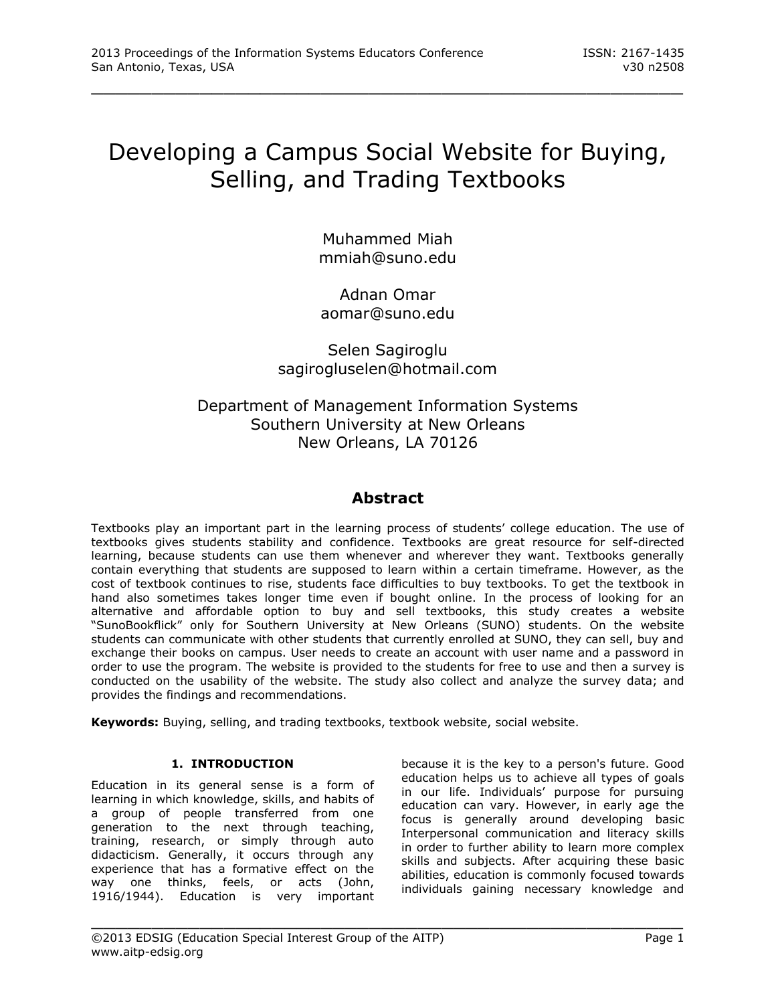# Developing a Campus Social Website for Buying, Selling, and Trading Textbooks

\_\_\_\_\_\_\_\_\_\_\_\_\_\_\_\_\_\_\_\_\_\_\_\_\_\_\_\_\_\_\_\_\_\_\_\_\_\_\_\_\_\_\_\_\_\_\_\_\_

Muhammed Miah mmiah@suno.edu

Adnan Omar aomar@suno.edu

Selen Sagiroglu sagirogluselen@hotmail.com

# Department of Management Information Systems Southern University at New Orleans New Orleans, LA 70126

## **Abstract**

Textbooks play an important part in the learning process of students' college education. The use of textbooks gives students stability and confidence. Textbooks are great resource for self-directed learning, because students can use them whenever and wherever they want. Textbooks generally contain everything that students are supposed to learn within a certain timeframe. However, as the cost of textbook continues to rise, students face difficulties to buy textbooks. To get the textbook in hand also sometimes takes longer time even if bought online. In the process of looking for an alternative and affordable option to buy and sell textbooks, this study creates a website "SunoBookflick" only for Southern University at New Orleans (SUNO) students. On the website students can communicate with other students that currently enrolled at SUNO, they can sell, buy and exchange their books on campus. User needs to create an account with user name and a password in order to use the program. The website is provided to the students for free to use and then a survey is conducted on the usability of the website. The study also collect and analyze the survey data; and provides the findings and recommendations.

\_\_\_\_\_\_\_\_\_\_\_\_\_\_\_\_\_\_\_\_\_\_\_\_\_\_\_\_\_\_\_\_\_\_\_\_\_\_\_\_\_\_\_\_\_\_\_\_\_

**Keywords:** Buying, selling, and trading textbooks, textbook website, social website.

#### **1. INTRODUCTION**

Education in its general sense is a form of learning in which knowledge, skills, and habits of a group of people transferred from one generation to the next through teaching, training, research, or simply through auto didacticism. Generally, it occurs through any experience that has a formative effect on the way one thinks, feels, or acts (John, 1916/1944). Education is very important

because it is the key to a person's future. Good education helps us to achieve all types of goals in our life. Individuals' purpose for pursuing education can vary. However, in early age the focus is generally around developing basic Interpersonal communication and literacy skills in order to further ability to learn more complex skills and subjects. After acquiring these basic abilities, education is commonly focused towards individuals gaining necessary knowledge and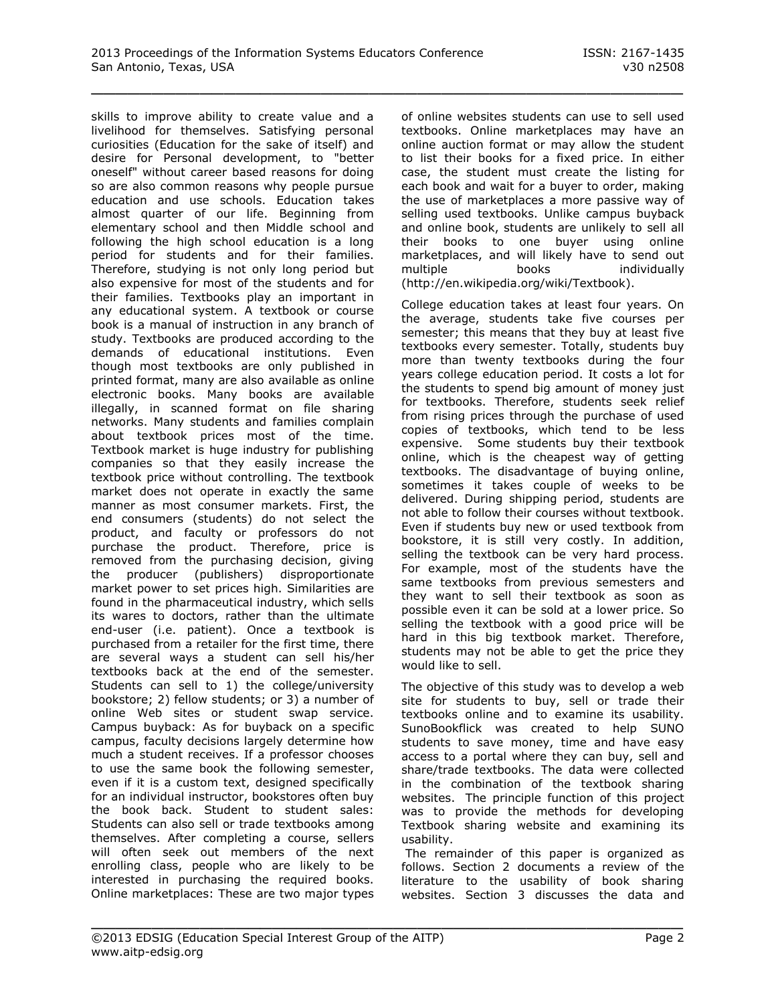skills to improve ability to create value and a livelihood for themselves. Satisfying personal curiosities (Education for the sake of itself) and desire for Personal development, to "better oneself" without career based reasons for doing so are also common reasons why people pursue education and use schools. Education takes almost quarter of our life. Beginning from elementary school and then Middle school and following the high school education is a long period for students and for their families. Therefore, studying is not only long period but also expensive for most of the students and for their families. Textbooks play an important in any educational system. A textbook or course book is a manual of instruction in any branch of study. Textbooks are produced according to the demands of educational institutions. Even though most textbooks are only published in printed format, many are also available as online electronic books. Many books are available illegally, in scanned format on file sharing networks. Many students and families complain about textbook prices most of the time. Textbook market is huge industry for publishing companies so that they easily increase the textbook price without controlling. The textbook market does not operate in exactly the same manner as most consumer markets. First, the end consumers (students) do not select the product, and faculty or professors do not purchase the product. Therefore, price is removed from the purchasing decision, giving the producer (publishers) disproportionate market power to set prices high. Similarities are found in the pharmaceutical industry, which sells its wares to doctors, rather than the ultimate end-user (i.e. patient). Once a textbook is purchased from a retailer for the first time, there are several ways a student can sell his/her textbooks back at the end of the semester. Students can sell to 1) the college/university bookstore; 2) fellow students; or 3) a number of online Web sites or student swap service. Campus buyback: As for buyback on a specific campus, faculty decisions largely determine how much a student receives. If a professor chooses to use the same book the following semester, even if it is a custom text, designed specifically for an individual instructor, bookstores often buy the book back. Student to student sales: Students can also sell or trade textbooks among themselves. After completing a course, sellers will often seek out members of the next enrolling class, people who are likely to be interested in purchasing the required books. Online marketplaces: These are two major types

of online websites students can use to sell used textbooks. Online marketplaces may have an online auction format or may allow the student to list their books for a fixed price. In either case, the student must create the listing for each book and wait for a buyer to order, making the use of marketplaces a more passive way of selling used textbooks. Unlike campus buyback and online book, students are unlikely to sell all their books to one buyer using online marketplaces, and will likely have to send out multiple books individually (http://en.wikipedia.org/wiki/Textbook).

College education takes at least four years. On the average, students take five courses per semester; this means that they buy at least five textbooks every semester. Totally, students buy more than twenty textbooks during the four years college education period. It costs a lot for the students to spend big amount of money just for textbooks. Therefore, students seek relief from rising prices through the purchase of used copies of textbooks, which tend to be less expensive. Some students buy their textbook online, which is the cheapest way of getting textbooks. The disadvantage of buying online, sometimes it takes couple of weeks to be delivered. During shipping period, students are not able to follow their courses without textbook. Even if students buy new or used textbook from bookstore, it is still very costly. In addition, selling the textbook can be very hard process. For example, most of the students have the same textbooks from previous semesters and they want to sell their textbook as soon as possible even it can be sold at a lower price. So selling the textbook with a good price will be hard in this big textbook market. Therefore, students may not be able to get the price they would like to sell.

The objective of this study was to develop a web site for students to buy, sell or trade their textbooks online and to examine its usability. SunoBookflick was created to help SUNO students to save money, time and have easy access to a portal where they can buy, sell and share/trade textbooks. The data were collected in the combination of the textbook sharing websites. The principle function of this project was to provide the methods for developing Textbook sharing website and examining its usability.

The remainder of this paper is organized as follows. Section 2 documents a review of the literature to the usability of book sharing websites. Section 3 discusses the data and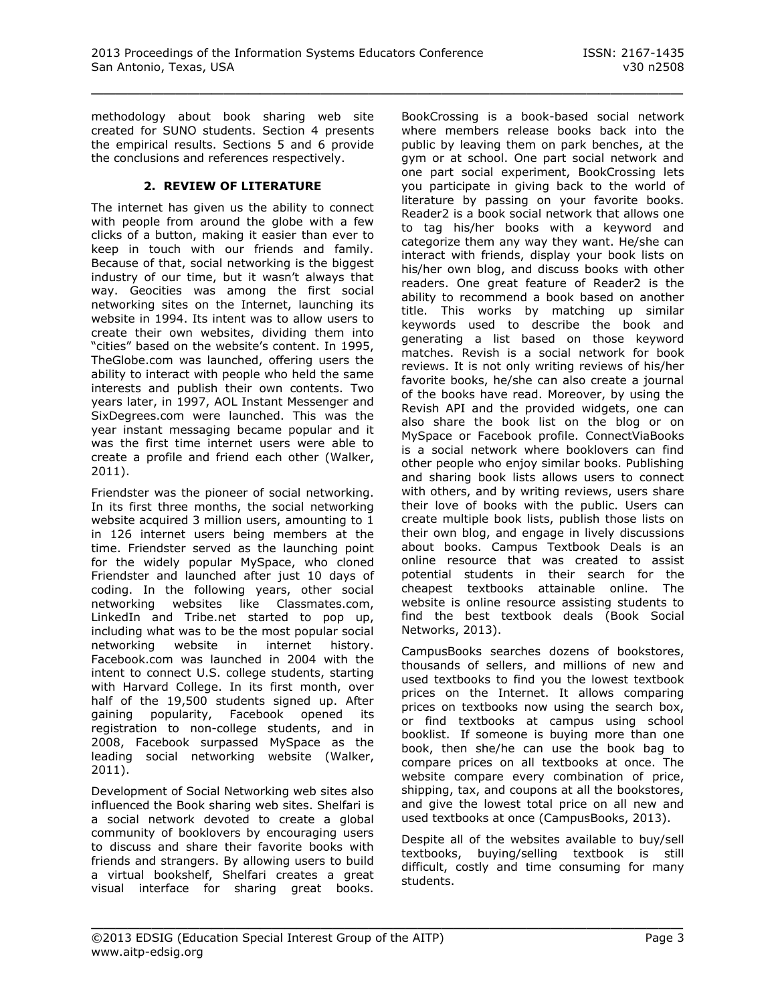methodology about book sharing web site created for SUNO students. Section 4 presents the empirical results. Sections 5 and 6 provide the conclusions and references respectively.

#### **2. REVIEW OF LITERATURE**

The internet has given us the ability to connect with people from around the globe with a few clicks of a button, making it easier than ever to keep in touch with our friends and family. Because of that, social networking is the biggest industry of our time, but it wasn't always that way. Geocities was among the first social networking sites on the Internet, launching its website in 1994. Its intent was to allow users to create their own websites, dividing them into "cities" based on the website's content. In 1995, TheGlobe.com was launched, offering users the ability to interact with people who held the same interests and publish their own contents. Two years later, in 1997, AOL Instant Messenger and SixDegrees.com were launched. This was the year instant messaging became popular and it was the first time internet users were able to create a profile and friend each other (Walker, 2011).

Friendster was the pioneer of social networking. In its first three months, the social networking website acquired 3 million users, amounting to 1 in 126 internet users being members at the time. Friendster served as the launching point for the widely popular MySpace, who cloned Friendster and launched after just 10 days of coding. In the following years, other social networking websites like Classmates.com, LinkedIn and Tribe.net started to pop up, including what was to be the most popular social networking website in internet history. Facebook.com was launched in 2004 with the intent to connect U.S. college students, starting with Harvard College. In its first month, over half of the 19,500 students signed up. After gaining popularity, Facebook opened its registration to non-college students, and in 2008, Facebook surpassed MySpace as the leading social networking website (Walker, 2011).

Development of Social Networking web sites also influenced the Book sharing web sites. Shelfari is a social network devoted to create a global community of booklovers by encouraging users to discuss and share their favorite books with friends and strangers. By allowing users to build a virtual bookshelf, Shelfari creates a great visual interface for sharing great books.

BookCrossing is a book-based social network where members release books back into the public by leaving them on park benches, at the gym or at school. One part social network and one part social experiment, BookCrossing lets you participate in giving back to the world of literature by passing on your favorite books. Reader2 is a book social network that allows one to tag his/her books with a keyword and categorize them any way they want. He/she can interact with friends, display your book lists on his/her own blog, and discuss books with other readers. One great feature of Reader2 is the ability to recommend a book based on another title. This works by matching up similar keywords used to describe the book and generating a list based on those keyword matches. Revish is a social network for book reviews. It is not only writing reviews of his/her favorite books, he/she can also create a journal of the books have read. Moreover, by using the Revish API and the provided widgets, one can also share the book list on the blog or on MySpace or Facebook profile. ConnectViaBooks is a social network where booklovers can find other people who enjoy similar books. Publishing and sharing book lists allows users to connect with others, and by writing reviews, users share their love of books with the public. Users can create multiple book lists, publish those lists on their own blog, and engage in lively discussions about books. Campus Textbook Deals is an online resource that was created to assist potential students in their search for the cheapest textbooks attainable online. The website is online resource assisting students to find the best textbook deals (Book Social Networks, 2013).

CampusBooks searches dozens of bookstores, thousands of sellers, and millions of new and used textbooks to find you the lowest textbook prices on the Internet. It allows comparing prices on textbooks now using the search box, or find textbooks at campus using school booklist. If someone is buying more than one book, then she/he can use the book bag to compare prices on all textbooks at once. The website compare every combination of price, shipping, tax, and coupons at all the bookstores, and give the lowest total price on all new and used textbooks at once (CampusBooks, 2013).

Despite all of the websites available to buy/sell textbooks, buying/selling textbook is still difficult, costly and time consuming for many students.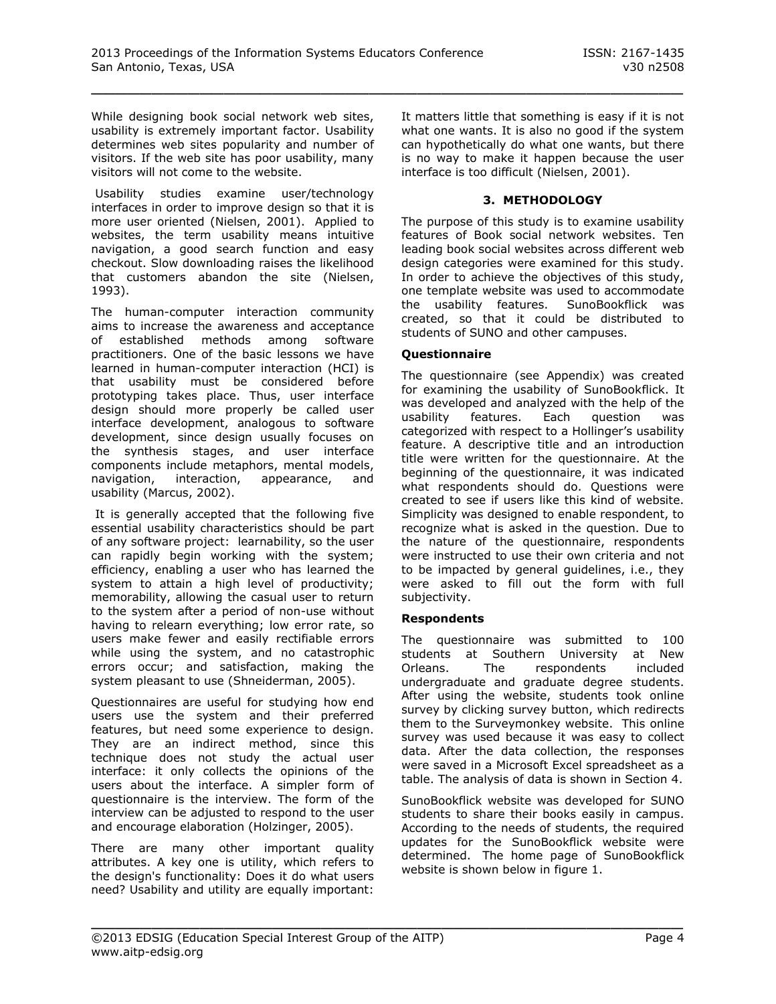While designing book social network web sites, usability is extremely important factor. Usability determines web sites popularity and number of visitors. If the web site has poor usability, many visitors will not come to the website.

Usability studies examine user/technology interfaces in order to improve design so that it is more user oriented (Nielsen, 2001). Applied to websites, the term usability means intuitive navigation, a good search function and easy checkout. Slow downloading raises the likelihood that customers abandon the site (Nielsen, 1993).

The human-computer interaction community aims to increase the awareness and acceptance of established methods among software practitioners. One of the basic lessons we have learned in human-computer interaction (HCI) is that usability must be considered before prototyping takes place. Thus, user interface design should more properly be called user interface development, analogous to software development, since design usually focuses on the synthesis stages, and user interface components include metaphors, mental models, navigation, interaction, appearance, and usability (Marcus, 2002).

It is generally accepted that the following five essential usability characteristics should be part of any software project: learnability, so the user can rapidly begin working with the system; efficiency, enabling a user who has learned the system to attain a high level of productivity; memorability, allowing the casual user to return to the system after a period of non-use without having to relearn everything; low error rate, so users make fewer and easily rectifiable errors while using the system, and no catastrophic errors occur; and satisfaction, making the system pleasant to use (Shneiderman, 2005).

Questionnaires are useful for studying how end users use the system and their preferred features, but need some experience to design. They are an indirect method, since this technique does not study the actual user interface: it only collects the opinions of the users about the interface. A simpler form of questionnaire is the interview. The form of the interview can be adjusted to respond to the user and encourage elaboration (Holzinger, 2005).

There are many other important quality attributes. A key one is utility, which refers to the design's functionality: Does it do what users need? Usability and utility are equally important: It matters little that something is easy if it is not what one wants. It is also no good if the system can hypothetically do what one wants, but there is no way to make it happen because the user interface is too difficult (Nielsen, 2001).

#### **3. METHODOLOGY**

The purpose of this study is to examine usability features of Book social network websites. Ten leading book social websites across different web design categories were examined for this study. In order to achieve the objectives of this study, one template website was used to accommodate the usability features. SunoBookflick was created, so that it could be distributed to students of SUNO and other campuses.

#### **Questionnaire**

The questionnaire (see Appendix) was created for examining the usability of SunoBookflick. It was developed and analyzed with the help of the usability features. Each question was categorized with respect to a Hollinger's usability feature. A descriptive title and an introduction title were written for the questionnaire. At the beginning of the questionnaire, it was indicated what respondents should do. Questions were created to see if users like this kind of website. Simplicity was designed to enable respondent, to recognize what is asked in the question. Due to the nature of the questionnaire, respondents were instructed to use their own criteria and not to be impacted by general guidelines, i.e., they were asked to fill out the form with full subjectivity.

#### **Respondents**

The questionnaire was submitted to 100 students at Southern University at New Orleans. The respondents included undergraduate and graduate degree students. After using the website, students took online survey by clicking survey button, which redirects them to the Surveymonkey website. This online survey was used because it was easy to collect data. After the data collection, the responses were saved in a Microsoft Excel spreadsheet as a table. The analysis of data is shown in Section 4.

SunoBookflick website was developed for SUNO students to share their books easily in campus. According to the needs of students, the required updates for the SunoBookflick website were determined. The home page of SunoBookflick website is shown below in figure 1.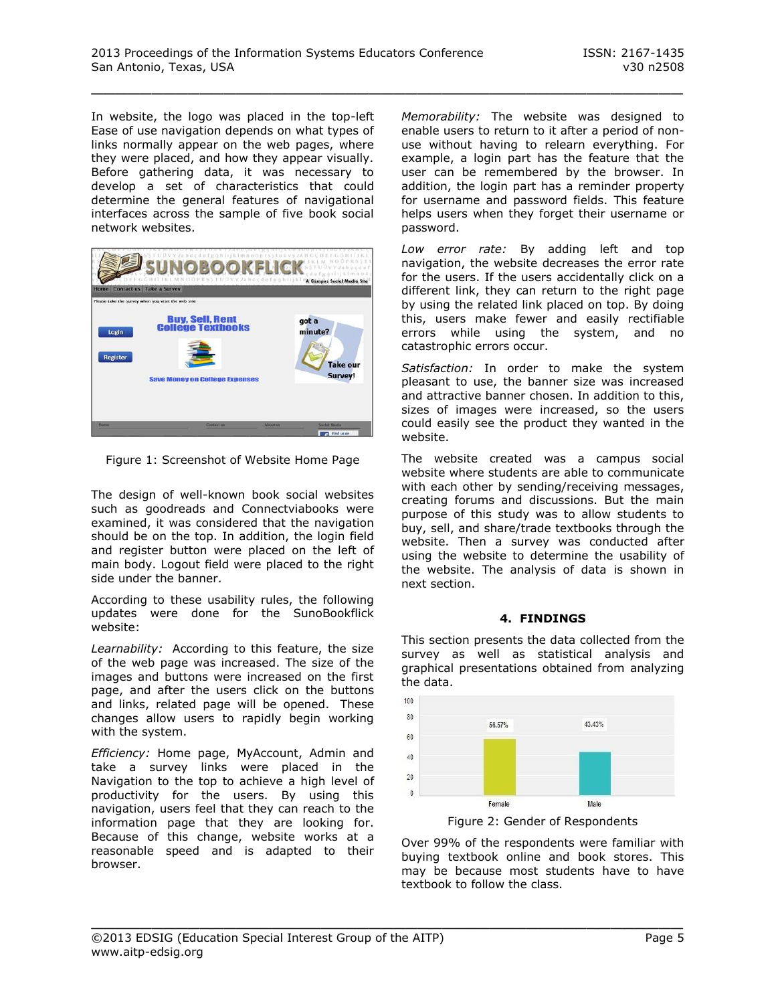In website, the logo was placed in the top-left Ease of use navigation depends on what types of links normally appear on the web pages, where they were placed, and how they appear visually. Before gathering data, it was necessary to develop a set of characteristics that could determine the general features of navigational interfaces across the sample of five book social network websites.



Figure 1: Screenshot of Website Home Page

The design of well-known book social websites such as goodreads and Connectviabooks were examined, it was considered that the navigation should be on the top. In addition, the login field and register button were placed on the left of main body. Logout field were placed to the right side under the banner.

According to these usability rules, the following updates were done for the SunoBookflick website:

*Learnability:* According to this feature, the size of the web page was increased. The size of the images and buttons were increased on the first page, and after the users click on the buttons and links, related page will be opened. These changes allow users to rapidly begin working with the system.

*Efficiency:* Home page, MyAccount, Admin and take a survey links were placed in the Navigation to the top to achieve a high level of productivity for the users. By using this navigation, users feel that they can reach to the information page that they are looking for. Because of this change, website works at a reasonable speed and is adapted to their browser.

*Memorability:* The website was designed to enable users to return to it after a period of nonuse without having to relearn everything. For example, a login part has the feature that the user can be remembered by the browser. In addition, the login part has a reminder property for username and password fields. This feature helps users when they forget their username or password.

*Low error rate:* By adding left and top navigation, the website decreases the error rate for the users. If the users accidentally click on a different link, they can return to the right page by using the related link placed on top. By doing this, users make fewer and easily rectifiable errors while using the system, and no catastrophic errors occur.

*Satisfaction:* In order to make the system pleasant to use, the banner size was increased and attractive banner chosen. In addition to this, sizes of images were increased, so the users could easily see the product they wanted in the website.

The website created was a campus social website where students are able to communicate with each other by sending/receiving messages, creating forums and discussions. But the main purpose of this study was to allow students to buy, sell, and share/trade textbooks through the website. Then a survey was conducted after using the website to determine the usability of the website. The analysis of data is shown in next section.

#### **4. FINDINGS**

This section presents the data collected from the survey as well as statistical analysis and graphical presentations obtained from analyzing the data.



Over 99% of the respondents were familiar with buying textbook online and book stores. This may be because most students have to have textbook to follow the class.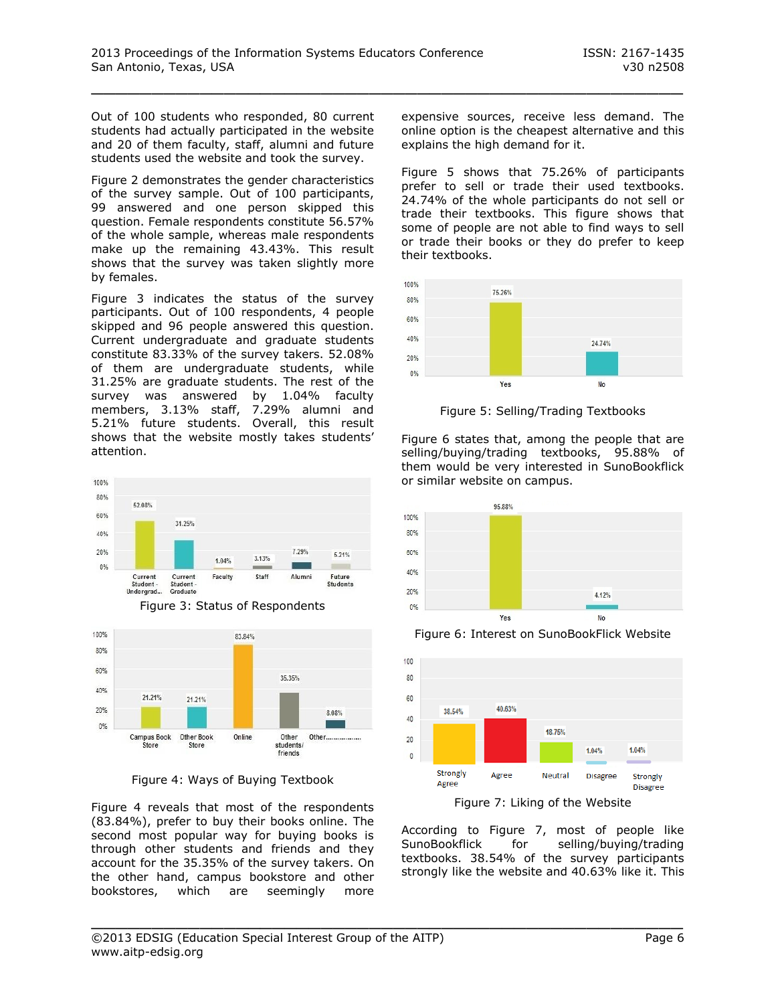Out of 100 students who responded, 80 current students had actually participated in the website and 20 of them faculty, staff, alumni and future students used the website and took the survey.

Figure 2 demonstrates the gender characteristics of the survey sample. Out of 100 participants, 99 answered and one person skipped this question. Female respondents constitute 56.57% of the whole sample, whereas male respondents make up the remaining 43.43%. This result shows that the survey was taken slightly more by females.

Figure 3 indicates the status of the survey participants. Out of 100 respondents, 4 people skipped and 96 people answered this question. Current undergraduate and graduate students constitute 83.33% of the survey takers. 52.08% of them are undergraduate students, while 31.25% are graduate students. The rest of the survey was answered by 1.04% faculty members, 3.13% staff, 7.29% alumni and 5.21% future students. Overall, this result shows that the website mostly takes students' attention.



Figure 3: Status of Respondents



Figure 4: Ways of Buying Textbook

Figure 4 reveals that most of the respondents (83.84%), prefer to buy their books online. The second most popular way for buying books is through other students and friends and they account for the 35.35% of the survey takers. On the other hand, campus bookstore and other bookstores, which are seemingly more

expensive sources, receive less demand. The online option is the cheapest alternative and this explains the high demand for it.

Figure 5 shows that 75.26% of participants prefer to sell or trade their used textbooks. 24.74% of the whole participants do not sell or trade their textbooks. This figure shows that some of people are not able to find ways to sell or trade their books or they do prefer to keep their textbooks.



Figure 5: Selling/Trading Textbooks

Figure 6 states that, among the people that are selling/buying/trading textbooks, 95.88% of them would be very interested in SunoBookflick or similar website on campus.



Figure 6: Interest on SunoBookFlick Website



Figure 7: Liking of the Website

According to Figure 7, most of people like SunoBookflick for selling/buying/trading textbooks. 38.54% of the survey participants strongly like the website and 40.63% like it. This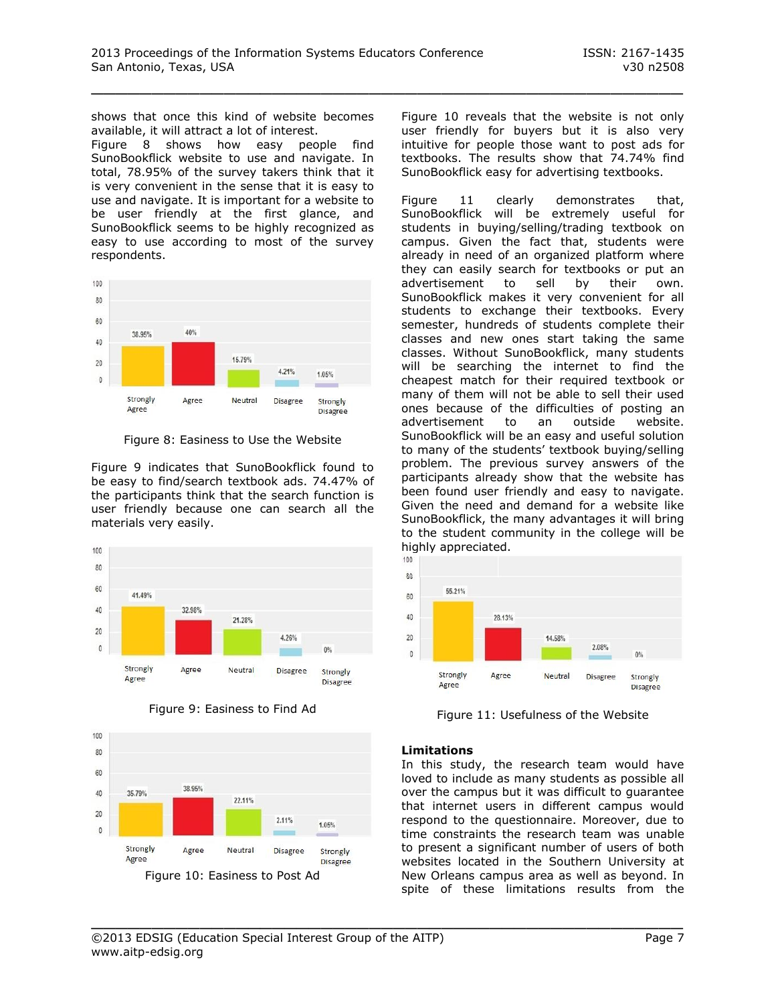shows that once this kind of website becomes available, it will attract a lot of interest.

Figure 8 shows how easy people find SunoBookflick website to use and navigate. In total, 78.95% of the survey takers think that it is very convenient in the sense that it is easy to use and navigate. It is important for a website to be user friendly at the first glance, and SunoBookflick seems to be highly recognized as easy to use according to most of the survey respondents.



Figure 8: Easiness to Use the Website

Figure 9 indicates that SunoBookflick found to be easy to find/search textbook ads. 74.47% of the participants think that the search function is user friendly because one can search all the materials very easily.







Figure 10 reveals that the website is not only user friendly for buyers but it is also very intuitive for people those want to post ads for textbooks. The results show that 74.74% find SunoBookflick easy for advertising textbooks.

Figure 11 clearly demonstrates that, SunoBookflick will be extremely useful for students in buying/selling/trading textbook on campus. Given the fact that, students were already in need of an organized platform where they can easily search for textbooks or put an advertisement to sell by their own. SunoBookflick makes it very convenient for all students to exchange their textbooks. Every semester, hundreds of students complete their classes and new ones start taking the same classes. Without SunoBookflick, many students will be searching the internet to find the cheapest match for their required textbook or many of them will not be able to sell their used ones because of the difficulties of posting an advertisement to an outside website. SunoBookflick will be an easy and useful solution to many of the students' textbook buying/selling problem. The previous survey answers of the participants already show that the website has been found user friendly and easy to navigate. Given the need and demand for a website like SunoBookflick, the many advantages it will bring to the student community in the college will be highly appreciated.



Figure 11: Usefulness of the Website

#### **Limitations**

\_\_\_\_\_\_\_\_\_\_\_\_\_\_\_\_\_\_\_\_\_\_\_\_\_\_\_\_\_\_\_\_\_\_\_\_\_\_\_\_\_\_\_\_\_\_\_\_\_

In this study, the research team would have loved to include as many students as possible all over the campus but it was difficult to guarantee that internet users in different campus would respond to the questionnaire. Moreover, due to time constraints the research team was unable to present a significant number of users of both websites located in the Southern University at New Orleans campus area as well as beyond. In spite of these limitations results from the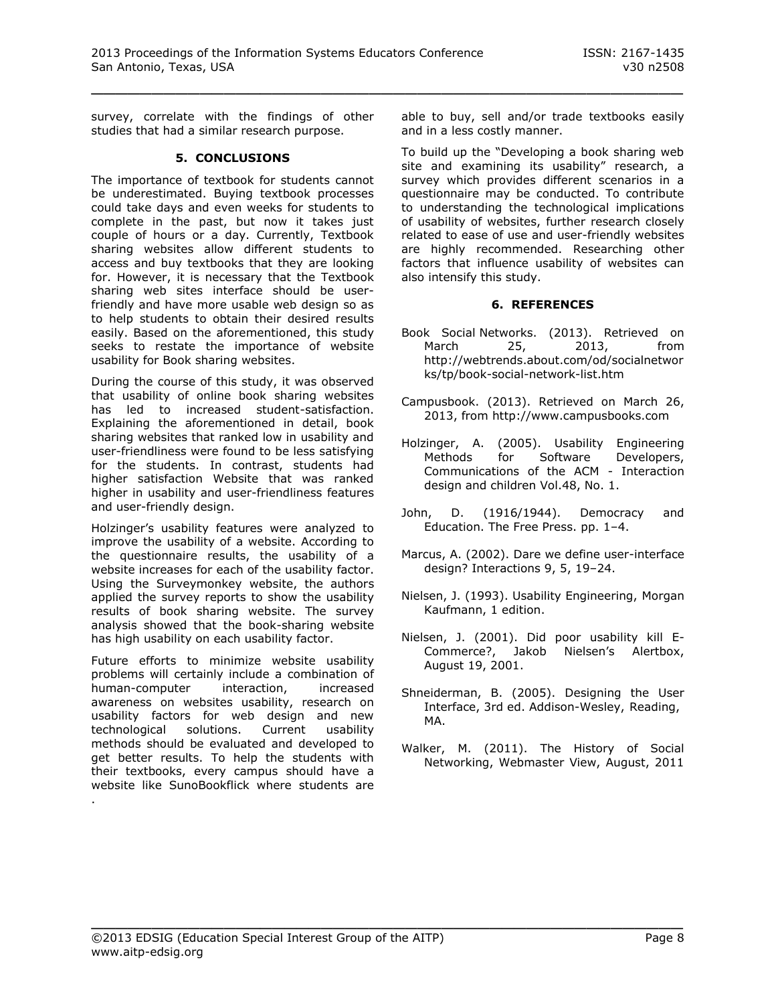survey, correlate with the findings of other studies that had a similar research purpose.

#### **5. CONCLUSIONS**

The importance of textbook for students cannot be underestimated. Buying textbook processes could take days and even weeks for students to complete in the past, but now it takes just couple of hours or a day. Currently, Textbook sharing websites allow different students to access and buy textbooks that they are looking for. However, it is necessary that the Textbook sharing web sites interface should be userfriendly and have more usable web design so as to help students to obtain their desired results easily. Based on the aforementioned, this study seeks to restate the importance of website usability for Book sharing websites.

During the course of this study, it was observed that usability of online book sharing websites has led to increased student-satisfaction. Explaining the aforementioned in detail, book sharing websites that ranked low in usability and user-friendliness were found to be less satisfying for the students. In contrast, students had higher satisfaction Website that was ranked higher in usability and user-friendliness features and user-friendly design.

Holzinger's usability features were analyzed to improve the usability of a website. According to the questionnaire results, the usability of a website increases for each of the usability factor. Using the Surveymonkey website, the authors applied the survey reports to show the usability results of book sharing website. The survey analysis showed that the book-sharing website has high usability on each usability factor.

Future efforts to minimize website usability problems will certainly include a combination of human-computer interaction, increased awareness on websites usability, research on usability factors for web design and new technological solutions. Current usability methods should be evaluated and developed to get better results. To help the students with their textbooks, every campus should have a website like SunoBookflick where students are .

able to buy, sell and/or trade textbooks easily and in a less costly manner.

To build up the "Developing a book sharing web site and examining its usability" research, a survey which provides different scenarios in a questionnaire may be conducted. To contribute to understanding the technological implications of usability of websites, further research closely related to ease of use and user-friendly websites are highly recommended. Researching other factors that influence usability of websites can also intensify this study.

#### **6. REFERENCES**

- Book Social Networks. (2013). Retrieved on March 25, 2013, from http://webtrends.about.com/od/socialnetwor ks/tp/book-social-network-list.htm
- Campusbook. (2013). Retrieved on March 26, 2013, from [http://www.campusbooks.com](http://www.campusbooks.com/)
- Holzinger, A. (2005). Usability Engineering Methods for Software Developers, Communications of the ACM - Interaction design and children Vol.48, No. 1.
- John, D. (1916/1944). Democracy and Education. The Free Press. pp. 1–4.
- Marcus, A. (2002). Dare we define user-interface design? Interactions 9, 5, 19–24.
- Nielsen, J. (1993). Usability Engineering, Morgan Kaufmann, 1 edition.
- Nielsen, J. (2001). Did poor usability kill E-Commerce?, Jakob Nielsen's Alertbox, August 19, 2001.
- Shneiderman, B. (2005). Designing the User Interface, 3rd ed. Addison-Wesley, Reading, MA.
- Walker, M. (2011). The History of Social Networking, Webmaster View, August, 2011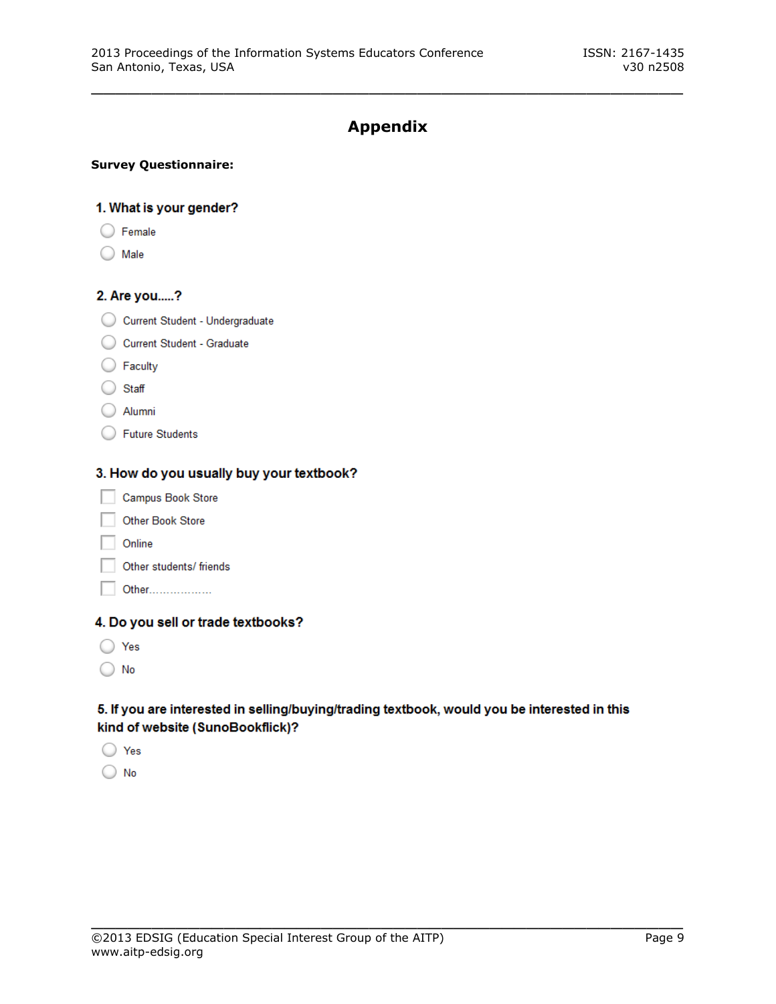# **Appendix**

\_\_\_\_\_\_\_\_\_\_\_\_\_\_\_\_\_\_\_\_\_\_\_\_\_\_\_\_\_\_\_\_\_\_\_\_\_\_\_\_\_\_\_\_\_\_\_\_\_

#### **Survey Questionnaire:**

#### 1. What is your gender?

- $\bigcirc$  Female
- $)$  Male

#### 2. Are you.....?

- Current Student Undergraduate
- Current Student Graduate
- $\bigcirc$  Faculty
- ◯ Staff
- Alumni
- ◯ Future Students

#### 3. How do you usually buy your textbook?

- Campus Book Store
- Other Book Store
- Online
- Other students/ friends
- Other..................

## 4. Do you sell or trade textbooks?

- ◯ Yes
- $\bigcirc$  No

## 5. If you are interested in selling/buying/trading textbook, would you be interested in this kind of website (SunoBookflick)?

- ◯ Yes
- $\bigcirc$  No